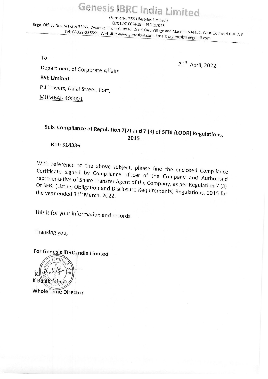Genesis JBRC India Limited'<br>(Formerly, 'SSK Lifestyles Limited')<br>Regd. Off: Sy Nos.241/2 & 389/2, Dwaraka Tirumala Road, Denduluru Village and Mandal-534432, West Godavari Dist, A P Tel: 08829-256599, Website: www.genesisiil.com, Email: csgenesisiil@gmail.com

To

extending to the Department of Corporate Affairs<br>
21<sup>st</sup> April, 2022

BSE Limited

<sup>P</sup>J Towers, Dalal Street, Fort,

MUMBAI- 400001

## Sub: Compliance of Regulation 7(2) and 7 (3) of SEBI (LODR) Regulations, <sup>2015</sup>

Ref: 514336

With reference to the above subject, p<br>Certificate signed by Compliance office<br>representative of Share Transfer Agent of<br>Of SEBI (Listing Obligation and Disclosure<br>the year ended 31<sup>st</sup> March, 2022.<br>This is for your inform With reference to the above subject, please find the enclosed Compliance With reference to the above subject, please find the enclosed Compliance<br>Certificate signed by Compliance officer of the Company and Authorised<br>representative of Share Transfer Agont of the Company and Authorised Of SEBI (Listing Obligation Of SEBI (Listing Obligation and Disclosure Requirements) Regulations, 2015 for<br>the year ended 31<sup>st</sup> March 2022

This is for your information and records.

Thanking you,

For Genesis IBRC India Limited